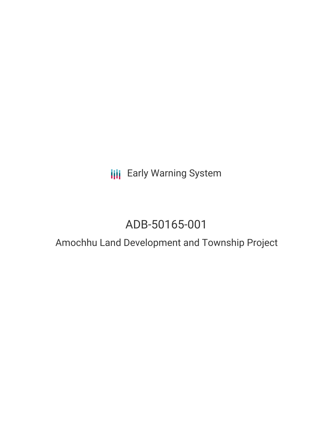**III** Early Warning System

# ADB-50165-001

# Amochhu Land Development and Township Project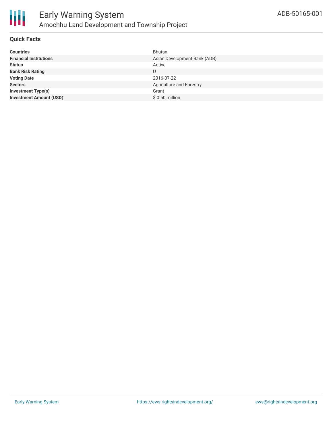

### **Quick Facts**

| <b>Countries</b>               | Bhutan                       |
|--------------------------------|------------------------------|
| <b>Financial Institutions</b>  | Asian Development Bank (ADB) |
| <b>Status</b>                  | Active                       |
| <b>Bank Risk Rating</b>        | U                            |
| <b>Voting Date</b>             | 2016-07-22                   |
| <b>Sectors</b>                 | Agriculture and Forestry     |
| <b>Investment Type(s)</b>      | Grant                        |
| <b>Investment Amount (USD)</b> | $$0.50$ million              |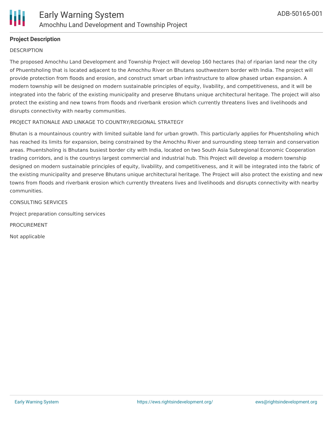

## **Project Description**

#### **DESCRIPTION**

The proposed Amochhu Land Development and Township Project will develop 160 hectares (ha) of riparian land near the city of Phuentsholing that is located adjacent to the Amochhu River on Bhutans southwestern border with India. The project will provide protection from floods and erosion, and construct smart urban infrastructure to allow phased urban expansion. A modern township will be designed on modern sustainable principles of equity, livability, and competitiveness, and it will be integrated into the fabric of the existing municipality and preserve Bhutans unique architectural heritage. The project will also protect the existing and new towns from floods and riverbank erosion which currently threatens lives and livelihoods and disrupts connectivity with nearby communities.

#### PROJECT RATIONALE AND LINKAGE TO COUNTRY/REGIONAL STRATEGY

Bhutan is a mountainous country with limited suitable land for urban growth. This particularly applies for Phuentsholing which has reached its limits for expansion, being constrained by the Amochhu River and surrounding steep terrain and conservation areas. Phuentsholing is Bhutans busiest border city with India, located on two South Asia Subregional Economic Cooperation trading corridors, and is the countrys largest commercial and industrial hub. This Project will develop a modern township designed on modern sustainable principles of equity, livability, and competitiveness, and it will be integrated into the fabric of the existing municipality and preserve Bhutans unique architectural heritage. The Project will also protect the existing and new towns from floods and riverbank erosion which currently threatens lives and livelihoods and disrupts connectivity with nearby communities.

CONSULTING SERVICES

Project preparation consulting services

PROCUREMENT

Not applicable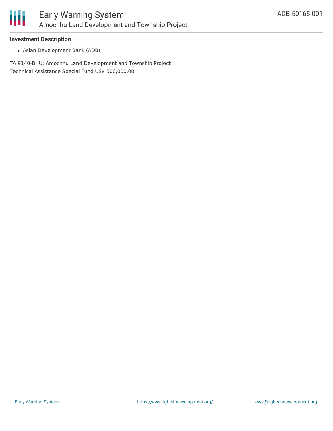

#### **Investment Description**

Asian Development Bank (ADB)

TA 9140-BHU: Amochhu Land Development and Township Project Technical Assistance Special Fund US\$ 500,000.00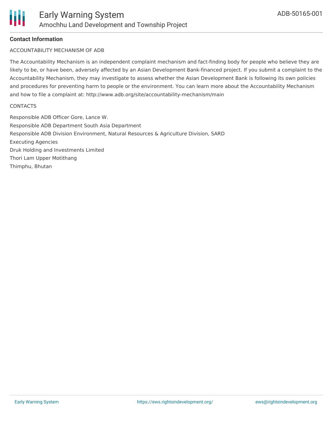## **Contact Information**

#### ACCOUNTABILITY MECHANISM OF ADB

The Accountability Mechanism is an independent complaint mechanism and fact-finding body for people who believe they are likely to be, or have been, adversely affected by an Asian Development Bank-financed project. If you submit a complaint to the Accountability Mechanism, they may investigate to assess whether the Asian Development Bank is following its own policies and procedures for preventing harm to people or the environment. You can learn more about the Accountability Mechanism and how to file a complaint at: http://www.adb.org/site/accountability-mechanism/main

#### **CONTACTS**

Responsible ADB Officer Gore, Lance W. Responsible ADB Department South Asia Department Responsible ADB Division Environment, Natural Resources & Agriculture Division, SARD Executing Agencies Druk Holding and Investments Limited Thori Lam Upper Motithang Thimphu, Bhutan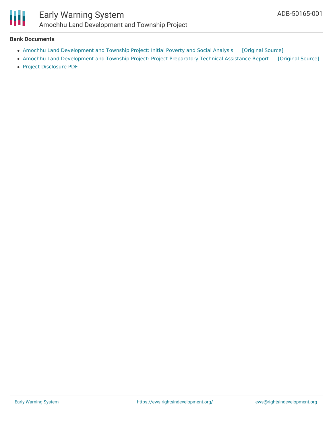

# Early Warning System Amochhu Land Development and Township Project

#### **Bank Documents**

- Amochhu Land [Development](https://ewsdata.rightsindevelopment.org/files/documents/01/ADB-50165-001.pdf) and Township Project: Initial Poverty and Social Analysis [\[Original](https://www.adb.org/projects/documents/bhu-amochhu-land-dev-and-township-proj-ipsa) Source]
- Amochhu Land [Development](https://ewsdata.rightsindevelopment.org/files/documents/01/ADB-50165-001_zRs926t.pdf) and Township Project: Project Preparatory Technical Assistance Report [\[Original](https://www.adb.org/projects/documents/bhu-amochhu-land-dev-and-township-proj-pptar) Source]
- Project [Disclosure](https://www.adb.org/printpdf/projects/50165-001/main) PDF